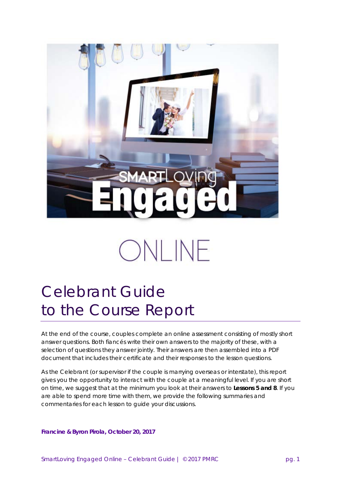

# ONLINE

## Celebrant Guide to the Course Report

At the end of the course, couples complete an online assessment consisting of mostly short answer questions. Both fiancés write their own answers to the majority of these, with a selection of questions they answer jointly. Their answers are then assembled into a PDF document that includes their certificate and their responses to the lesson questions.

As the Celebrant (or supervisor if the couple is marrying overseas or interstate), this report gives you the opportunity to interact with the couple at a meaningful level. If you are short on time, we suggest that at the minimum you look at their answers to **Lessons 5 and 8**. If you are able to spend more time with them, we provide the following summaries and commentaries for each lesson to guide your discussions.

*Francine & Byron Pirola, October 20, 2017*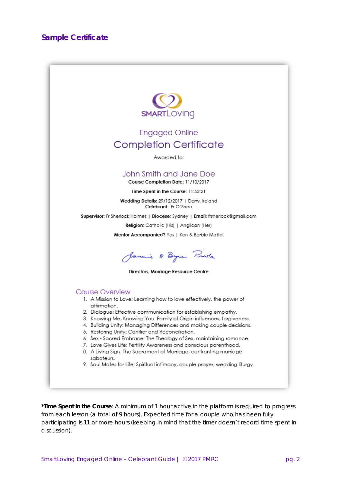

**\*Time Spent in the Course**: A minimum of 1 hour active in the platform is required to progress from each lesson (a total of 9 hours). Expected time for a couple who has been fully participating is 11 or more hours (keeping in mind that the timer doesn't record time spent in discussion).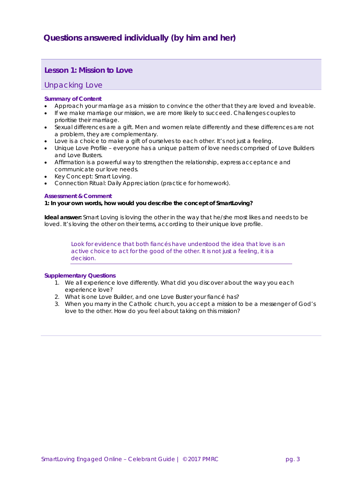## **Questions answered individually (by him and her)**

## **Lesson 1: Mission to Love**

### Unpacking Love

#### **Summary of Content**

- Approach your marriage as a mission to convince the other that they are loved and loveable.
- If we make marriage our mission, we are more likely to succeed. Challenges couples to prioritise their marriage.
- Sexual differences are a gift. Men and women relate differently and these differences are not a problem, they are complementary.
- Love is a choice to make a gift of ourselves to each other. It's not just a feeling.
- Unique Love Profile everyone has a unique pattern of love needs comprised of Love Builders and Love Busters.
- Affirmation is a powerful way to strengthen the relationship, express acceptance and communicate our love needs.
- Key Concept: Smart Loving.
- Connection Ritual: Daily Appreciation (practice for homework).

#### **Assessment & Comment**

#### **1: In your own words, how would you describe the concept of SmartLoving?**

**Ideal answer:** *Smart Loving* is loving the other in the way that he/she most likes and needs to be loved. It's loving the other on their terms, according to their unique love profile.

> Look for evidence that both fiancés have understood the idea that love is an *active choice to act for the good of the other. It is not just a feeling, it is a decision.*

- 1. We all experience love differently. What did you discover about the way you each experience love?
- 2. What is one Love Builder, and one Love Buster your fiancé has?
- 3. When you marry in the Catholic church, you accept a mission to be a messenger of God's love to the other. How do you feel about taking on this mission?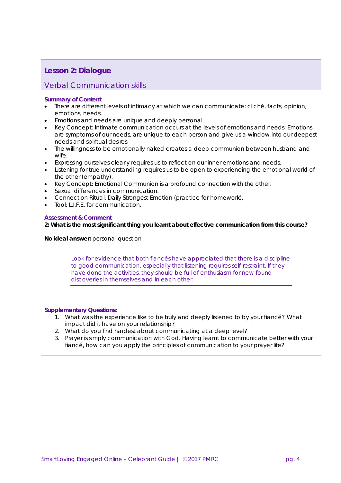## **Lesson 2: Dialogue**

## Verbal Communication skills

#### **Summary of Content**

- There are different levels of intimacy at which we can communicate: cliché, facts, opinion, emotions, needs.
- Emotions and needs are unique and deeply personal.
- Key Concept: Intimate communication occurs at the levels of emotions and needs. Emotions are symptoms of our needs, are unique to each person and give us a window into our deepest needs and spiritual desires.
- The willingness to be emotionally naked creates a deep communion between husband and wife.
- Expressing ourselves clearly requires us to reflect on our inner emotions and needs.
- Listening for true understanding requires us to be open to experiencing the emotional world of the other (empathy).
- Key Concept: Emotional Communion is a profound connection with the other.
- Sexual differences in communication.
- Connection Ritual: Daily Strongest Emotion (practice for homework).
- Tool: L.I.F.E. for communication.

#### **Assessment & Comment**

**2: What is the most significant thing you learnt about effective communication from this course?**

**No ideal answer:** personal question

Look for evidence that both fiances have appreciated that there is a discipline *to good communication, especially that listening requires self-restraint. If they have done the activities, they should be full of enthusiasm for new-found discoveries in themselves and in each other.*

- 1. What was the experience like to be truly and deeply listened to by your fiancé? What impact did it have on your relationship?
- 2. What do you find hardest about communicating at a deep level?
- 3. Prayer is simply communication with God. Having learnt to communicate better with your fiancé, how can you apply the principles of communication to your prayer life?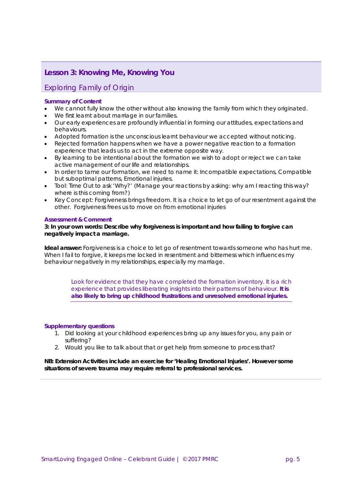## **Lesson 3: Knowing Me, Knowing You**

## Exploring Family of Origin

#### **Summary of Content**

- We cannot fully know the other without also knowing the family from which they originated.
- We first learnt about marriage in our families.
- Our early experiences are profoundly influential in forming our attitudes, expectations and behaviours.
- Adopted formation is the unconscious learnt behaviour we accepted without noticing.
- Rejected formation happens when we have a power negative reaction to a formation experience that leads us to act in the extreme opposite way.
- By learning to be intentional about the formation we wish to adopt or reject we can take active management of our life and relationships.
- In order to tame our formation, we need to name it: Incompatible expectations, Compatible but suboptimal patterns, Emotional injuries.
- Tool: Time Out to ask 'Why?' (Manage your reactions by asking: why am I reacting this way? where is this coming from?)
- Key Concept: Forgiveness brings freedom. It is a choice to let go of our resentment against the other. Forgiveness frees us to move on from emotional injuries

#### **Assessment & Comment**

#### **3: In your own words: Describe why forgiveness is important and how failing to forgive can negatively impact a marriage.**

**Ideal answer:** Forgiveness is a choice to let go of resentment towards someone who has hurt me. When I fail to forgive, it keeps me locked in resentment and bitterness which influences my behaviour negatively in my relationships, especially my marriage.

Look for evidence that they have completed the formation inventory. It is a rich *experience that provides liberating insights into their patterns of behaviour. It is also likely to bring up childhood frustrations and unresolved emotional injuries.*

#### *Supplementary questions*

- 1. Did looking at your childhood experiences bring up any issues for you, any pain or suffering?
- 2. Would you like to talk about that or get help from someone to process that?

#### **NB: Extension Activities include an exercise for 'Healing Emotional Injuries'. However some situations of severe trauma may require referral to professional services.**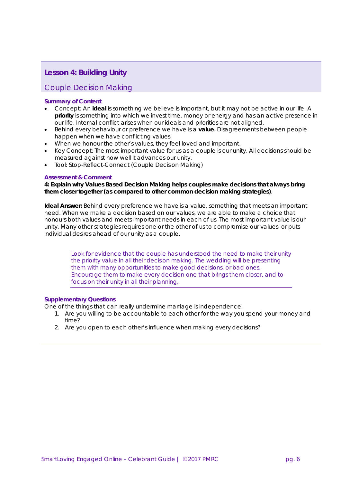## **Lesson 4: Building Unity**

## Couple Decision Making

#### **Summary of Content**

- Concept: An **ideal** is something we believe is important, but it may not be active in our life. A **priority** is something into which we invest time, money or energy and has an active presence in our life. Internal conflict arises when our ideals and priorities are not aligned.
- Behind every behaviour or preference we have is a **value**. Disagreements between people happen when we have conflicting values.
- When we honour the other's values, they feel loved and important.
- Key Concept: The most important value for us as a couple is our unity. All decisions should be measured against how well it advances our unity.
- Tool: Stop-Reflect-Connect (Couple Decision Making)

#### **Assessment & Comment**

**4: Explain why Values Based Decision Making helps couples make decisions that always bring them closer together (as compared to other common decision making strategies)**.

**Ideal Answer:** Behind every preference we have is a value, something that meets an important need. When we make a decision based on our values, we are able to make a choice that honours both values and meets important needs in each of us. The most important value is our unity. Many other strategies requires one or the other of us to compromise our values, or puts individual desires ahead of our unity as a couple.

> Look for evidence that the couple has understood the need to make their unity *the priority value in all their decision making. The wedding will be presenting them with many opportunities to make good decisions, or bad ones. Encourage them to make every decision one that brings them closer, and to focus on their unity in all their planning.*

#### *Supplementary Questions*

One of the things that can really undermine marriage is independence.

- 1. Are you willing to be accountable to each other for the way you spend your money and time?
- 2. Are you open to each other's influence when making every decisions?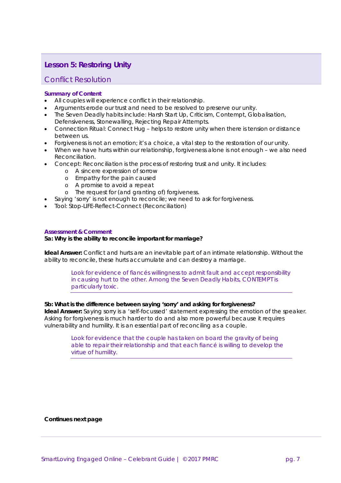## **Lesson 5: Restoring Unity**

#### Conflict Resolution

#### **Summary of Content**

- All couples will experience conflict in their relationship.
- Arguments erode our trust and need to be resolved to preserve our unity.
- The Seven Deadly habits include: Harsh Start Up, Criticism, Contempt, Globalisation,
- Defensiveness, Stonewalling, Rejecting Repair Attempts.
- Connection Ritual: Connect Hug helps to restore unity when there is tension or distance between us.
- Forgiveness is not an emotion; it's a choice, a vital step to the restoration of our unity.
- When we have hurts within our relationship, forgiveness alone is not enough we also need Reconciliation.
- Concept: Reconciliation is the process of restoring trust and unity. It includes:
	- o A sincere expression of sorrow
	- o Empathy for the pain caused
	- o A promise to avoid a repeat
	- o The request for (and granting of) forgiveness.
	- Saying 'sorry' is not enough to reconcile; we need to ask for forgiveness.
- Tool: Stop-LIFE-Reflect-Connect (Reconciliation)

#### **Assessment & Comment**

#### **5a: Why is the ability to reconcile important for marriage?**

**Ideal Answer:** Conflict and hurts are an inevitable part of an intimate relationship. Without the ability to reconcile, these hurts accumulate and can destroy a marriage.

> *Look for evidence of fiancés willingness to admit fault and accept responsibility in causing hurt to the other. Among the Seven Deadly Habits, CONTEMPT is particularly toxic.*

#### **5b: What is the difference between saying 'sorry' and asking for forgiveness?**

**Ideal Answer:** Saying sorry is a 'self-focussed' statement expressing the emotion of the speaker. Asking for forgiveness is much harder to do and also more powerful because it requires vulnerability and humility. It is an essential part of reconciling as a couple.

> Look for evidence that the couple has taken on board the gravity of being *able to repair their relationship and that each fiancé is willing to develop the virtue of humility.*

#### **Continues next page**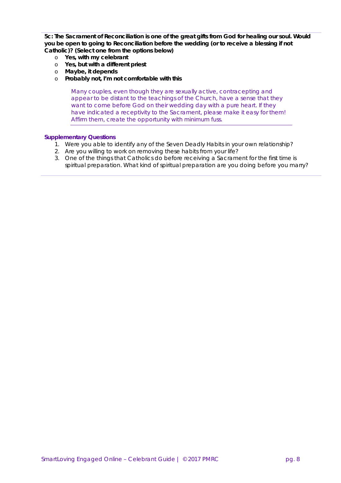**5c: The Sacrament of Reconciliation is one of the great gifts from God for healing our soul. Would you be open to going to Reconciliation before the wedding (or to receive a blessing if not Catholic)? (Select one from the options below)**

- o **Yes, with my celebrant**
- o **Yes, but with a different priest**
- o **Maybe, it depends**
- o **Probably not, I'm not comfortable with this**

*Many couples, even though they are sexually active, contracepting and appear to be distant to the teachings of the Church, have a sense that they want to come before God on their wedding day with a pure heart. If they have indicated a receptivity to the Sacrament, please make it easy for them! Affirm them, create the opportunity with minimum fuss.*

- 1. Were you able to identify any of the Seven Deadly Habits in your own relationship?
- 2. Are you willing to work on removing these habits from your life?
- 3. One of the things that Catholics do before receiving a Sacrament for the first time is spiritual preparation. What kind of spiritual preparation are you doing before you marry?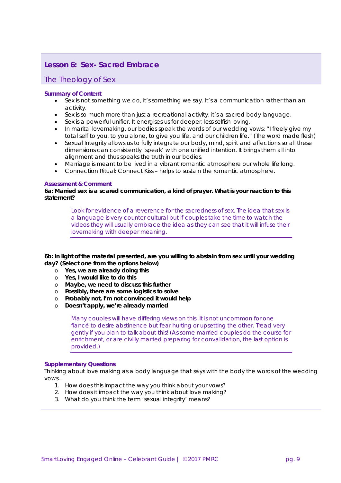## **Lesson 6: Sex- Sacred Embrace**

#### The Theology of Sex

#### **Summary of Content**

- Sex is not something we do, it's something we say. It's a communication rather than an activity.
- Sex is so much more than just a recreational activity; it's a sacred body language.
- Sex is a powerful unifier. It energises us for deeper, less selfish loving.
- In marital lovemaking, our bodies speak the words of our wedding vows: "I freely give my total self to you, to you alone, to give you life, and our children life." (The word made flesh)
- Sexual Integrity allows us to fully integrate our body, mind, spirit and affections so all these dimensions can consistently 'speak' with one unified intention. It brings them all into alignment and thus speaks the truth in our bodies.
- Marriage is meant to be lived in a vibrant romantic atmosphere our whole life long.
- Connection Ritual: Connect Kiss helps to sustain the romantic atmosphere.

#### **Assessment & Comment**

**6a: Married sex is a scared communication, a kind of prayer. What is your reaction to this statement?**

> Look for evidence of a reverence for the sacredness of sex. The idea that sex is *a language is very counter cultural but if couples take the time to watch the videos they will usually embrace the idea as they can see that it will infuse their lovemaking with deeper meaning.*

**6b: In light of the material presented, are you willing to abstain from sex until your wedding day? (Select one from the options below)**

- o **Yes, we are already doing this**
- o **Yes, I would like to do this**
- o **Maybe, we need to discuss this further**
- o **Possibly, there are some logistics to solve**
- o **Probably not, I'm not convinced it would help**<br> **p Doesn't apply, we're already married**
- Doesn't apply, we're already married

*Many couples will have differing views on this. It is not uncommon for one fiancé to desire abstinence but fear hurting or upsetting the other. Tread very gently if you plan to talk about this! (As some married couples do the course for enrichment, or are civilly married preparing for convalidation, the last option is provided.)*

#### *Supplementary Questions*

Thinking about love making as a body language that says with the body the words of the wedding vows…

- 1. How does this impact the way you think about your vows?
- 2. How does it impact the way you think about love making?
- 3. What do you think the term 'sexual integrity' means?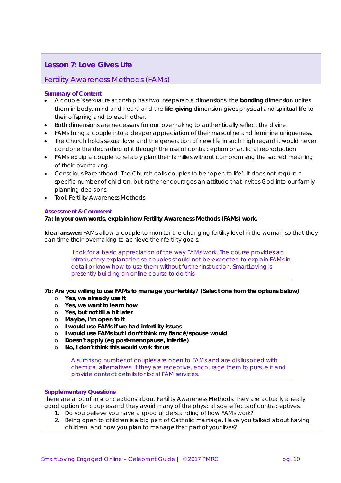## **Lesson 7: Love Gives Life**

## Fertility Awareness Methods (FAMs)

#### **Summary of Content**

- A couple's sexual relationship has two inseparable dimensions: the **bonding** dimension unites them in body, mind and heart, and the **life-giving** dimension gives physical and spiritual life to their offspring and to each other.
- Both dimensions are necessary for our lovemaking to authentically reflect the divine.
- FAMs bring a couple into a deeper appreciation of their masculine and feminine uniqueness.
- The Church holds sexual love and the generation of new life in such high regard it would never condone the degrading of it through the use of contraception or artificial reproduction.
- FAMs equip a couple to reliably plan their families without compromising the sacred meaning of their lovemaking.
- Conscious Parenthood: The Church calls couples to be 'open to life'. It does not require a specific number of children, but rather encourages an attitude that invites God into our family planning decisions.
- Tool: Fertility Awareness Methods

#### **Assessment & Comment**

#### **7a: In your own words, explain how Fertility Awareness Methods (FAMs) work.**

**Ideal answer:** FAMs allow a couple to monitor the changing fertility level in the woman so that they can time their lovemaking to achieve their fertility goals.

Look for a basic appreciation of the way FAMs work. The course provides an *introductory explanation so couples should not be expected to explain FAMs in detail or know how to use them without further instruction. SmartLoving is presently building an online course to do this.*

#### **7b: Are you willing to use FAMs to manage your fertility? (Select one from the options below)**

- o **Yes, we already use it**
- o **Yes, we want to learn how**
- o **Yes, but not till a bit later**
- o **Maybe, I'm open to it**
- o **I would use FAMs if we had infertility issues**
- o **I would use FAMs but I don't think my fiancé/spouse would**
- o **Doesn't apply (eg post-menopause, infertile)**
- o **No, I don't think this would work for us**

*A surprising number of couples are open to FAMs and are disillusioned with chemical alternatives. If they are receptive, encourage them to pursue it and provide contact details for local FAM services.*

#### *Supplementary Questions*

There are a lot of misconceptions about Fertility Awareness Methods. They are actually a really good option for couples and they avoid many of the physical side effects of contraceptives.

- 1. Do you believe you have a good understanding of how FAMs work?
- 2. Being open to children is a big part of Catholic marriage. Have you talked about having children, and how you plan to manage that part of your lives?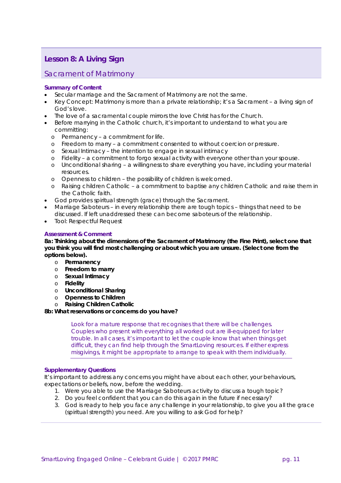## **Lesson 8: A Living Sign**

## Sacrament of Matrimony

#### **Summary of Content**

- Secular marriage and the Sacrament of Matrimony are not the same.
- Key Concept: Matrimony is more than a private relationship; it's a Sacrament a living sign of God's love.
- The love of a sacramental couple mirrors the love Christ has for the Church.
- Before marrying in the Catholic church, it's important to understand to what you are committing:
	- o *Permanency* a commitment for life.
	- o *Freedom to marry* a commitment consented to without coercion or pressure.
	- o *Sexual Intimacy* the intention to engage in sexual intimacy
	- o *Fidelity* a commitment to forgo sexual activity with everyone other than your spouse.
	- o *Unconditional sharing* a willingness to share everything you have, including your material resources.
	- o *Openness to children* the possibility of children is welcomed.
	- o *Raising children Catholic* a commitment to baptise any children Catholic and raise them in the Catholic faith.
- God provides spiritual strength (grace) through the Sacrament.
- Marriage Saboteurs in every relationship there are tough topics things that need to be discussed. If left unaddressed these can become saboteurs of the relationship.
- Tool: Respectful Request

#### **Assessment & Comment**

**8a: Thinking about the dimensions of the Sacrament of Matrimony (the Fine Print), select one that you think you will find most challenging or about which you are unsure. (Select one from the options below).**

- o **Permanency**
- o **Freedom to marry**
- o **Sexual Intimacy**
- o **Fidelity**
- o **Unconditional Sharing**
- o **Openness to Children**
- o **Raising Children Catholic**

#### **8b: What reservations or concerns do you have?**

Look for a mature response that recognises that there will be challenges. *Couples who present with everything all worked out are ill-equipped for later trouble. In all cases, it's important to let the couple know that when things get difficult, they can find help through the SmartLoving resources. If either express misgivings, it might be appropriate to arrange to speak with them individually.*

#### *Supplementary Questions*

It's important to address any concerns you might have about each other, your behaviours, expectations or beliefs, now, before the wedding.

- 1. Were you able to use the Marriage Saboteurs activity to discuss a tough topic?
- 2. Do you feel confident that you can do this again in the future if necessary?
- 3. God is ready to help you face any challenge in your relationship, to give you all the grace (spiritual strength) you need. Are you willing to ask God for help?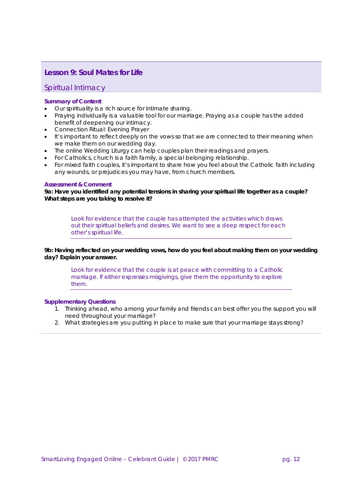## **Lesson 9: Soul Mates for Life**

## Spiritual Intimacy

#### **Summary of Content**

- Our spirituality is a rich source for intimate sharing.
- Praying individually is a valuable tool for our marriage. Praying *as a couple* has the added benefit of deepening our intimacy.
- Connection Ritual: Evening Prayer
- It's important to reflect deeply on the vows so that we are connected to their meaning when we make them on our wedding day.
- The online Wedding Liturgy can help couples plan their readings and prayers.
- For Catholics, church is a faith family, a special belonging relationship.
- For mixed faith couples, it's important to share how you feel about the Catholic faith including any wounds, or prejudices you may have, from church members.

#### **Assessment & Comment**

**9a: Have you identified any potential tensions in sharing your spiritual life together as a couple? What steps are you taking to resolve it?**

> *Look for evidence that the couple has attempted the activities which draws out their spiritual beliefs and desires. We want to see a deep respect for each other's spiritual life.*

**9b: Having reflected on your wedding vows, how do you feel about making them on your wedding day? Explain your answer.**

Look for evidence that the couple is at peace with committing to a Catholic *marriage. If either expresses misgivings, give them the opportunity to explore them.* 

- 1. Thinking ahead, who among your family and friends can best offer you the support you will need throughout your marriage?
- 2. What strategies are you putting in place to make sure that your marriage stays strong?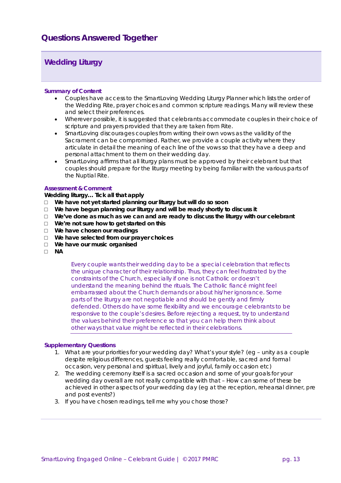## **Wedding Liturgy**

#### **Summary of Content**

- Couples have access to the SmartLoving Wedding Liturgy Planner which lists the order of the Wedding Rite, prayer choices and common scripture readings. Many will review these and select their preferences.
- Wherever possible, it is suggested that celebrants accommodate couples in their choice of scripture and prayers provided that they are taken from Rite.
- SmartLoving discourages couples from writing their own vows as the validity of the Sacrament can be compromised. Rather, we provide a couple activity where they articulate in detail the meaning of each line of the vows so that they have a deep and personal attachment to them on their wedding day.
- SmartLoving affirms that all liturgy plans must be approved by their celebrant but that couples should prepare for the liturgy meeting by being familiar with the various parts of the Nuptial Rite.

#### **Assessment & Comment**

#### **Wedding liturgy… Tick all that apply**

- □ **We have not yet started planning our liturgy but will do so soon**
- We have begun planning our liturgy and will be ready shortly to discuss it
- □ **We've done as much as we can and are ready to discuss the liturgy with our celebrant**
- □ **We're not sure how to get started on this**
- □ **We have chosen our readings**
- □ **We have selected from our prayer choices**
- □ **We have our music organised**
- □ **NA**

*Every couple wants their wedding day to be a special celebration that reflects the unique character of their relationship. Thus, they can feel frustrated by the constraints of the Church, especially if one is not Catholic or doesn't understand the meaning behind the rituals. The Catholic fiancé might feel embarrassed about the Church demands or about his/her ignorance. Some parts of the liturgy are not negotiable and should be gently and firmly defended. Others do have some flexibility and we encourage celebrants to be responsive to the couple's desires. Before rejecting a request, try to understand the values behind their preference so that you can help them think about other ways that value might be reflected in their celebrations.*

- 1. What are your priorities for your wedding day? What's your style? (eg unity as a couple despite religious differences, guests feeling really comfortable, sacred and formal occasion, very personal and spiritual, lively and joyful, family occasion etc)
- 2. The wedding ceremony itself is a sacred occasion and some of your goals for your wedding day overall are not really compatible with that – How can some of these be achieved in other aspects of your wedding day (eg at the reception, rehearsal dinner, pre and post events?)
- 3. If you have chosen readings, tell me why you chose those?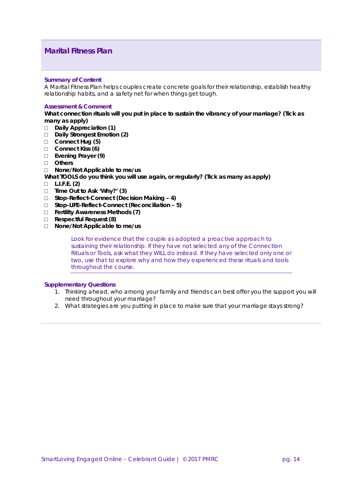## **Marital Fitness Plan**

#### **Summary of Content**

A Marital Fitness Plan helps couples create concrete goals for their relationship, establish healthy relationship habits, and a safety net for when things get tough.

#### **Assessment & Comment**

**What connection rituals will you put in place to sustain the vibrancy of your marriage? (Tick as many as apply)**

- □ **Daily Appreciation (1)**
- □ **Daily Strongest Emotion (2)**
- □ **Connect Hug (5)**
- □ **Connect Kiss (6)**
- □ **Evening Prayer (9)**
- □ **Others**
- □ **None/Not Applicable to me/us**

**What TOOLS do you think you will use again, or regularly? (Tick as many as apply)**

- □ **L.I.F.E. (2)**
- □ **Time Out to Ask 'Why?' (3)**
- □ **Stop-Reflect-Connect (Decision Making – 4)**
- □ **Stop-LIFE-Reflect-Connect (Reconciliation – 5)**
- □ **Fertility Awareness Methods (7)**
- □ **Respectful Request (8)**
- □ **None/Not Applicable to me/us**

*Look for evidence that the couple as adopted a proactive approach to sustaining their relationship. If they have not selected any of the Connection Rituals or Tools, ask what they WILL do instead. If they have selected only one or two, use that to explore why and how they experienced these rituals and tools throughout the course.*

- 1. Thinking ahead, who among your family and friends can best offer you the support you will need throughout your marriage?
- 2. What strategies are you putting in place to make sure that your marriage stays strong?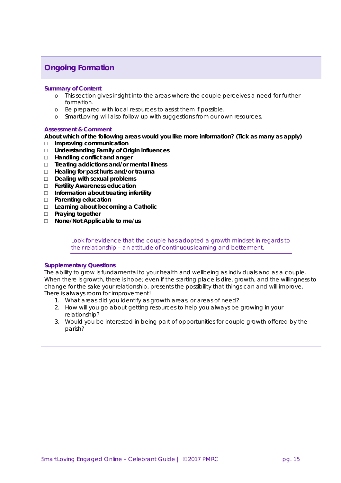## **Ongoing Formation**

#### **Summary of Content**

- o This section gives insight into the areas where the couple perceives a need for further formation.
- o Be prepared with local resources to assist them if possible.
- o SmartLoving will also follow up with suggestions from our own resources.

#### **Assessment & Comment**

#### **About which of the following areas would you like more information? (Tick as many as apply)**

- □ **Improving communication**
- □ **Understanding Family of Origin influences**
- □ **Handling conflict and anger**
- □ **Treating addictions and/or mental illness**
- □ **Healing for past hurts and/or trauma**
- □ **Dealing with sexual problems**
- □ **Fertility Awareness education**
- □ **Information about treating infertility**
- □ **Parenting education**
- □ **Learning about becoming a Catholic**
- □ **Praying together**
- □ **None/Not Applicable to me/us**

Look for evidence that the couple has adopted a growth mindset in regards to *their relationship – an attitude of continuous learning and betterment.*

#### *Supplementary Questions*

The ability to grow is fundamental to your health and wellbeing as individuals and as a couple. When there is growth, there is hope; even if the starting place is dire, growth, and the willingness to change for the sake your relationship, presents the possibility that things can and will improve. There is always room for improvement!

- 1. What areas did you identify as growth areas, or areas of need?
- 2. How will you go about getting resources to help you always be growing in your relationship?
- 3. Would you be interested in being part of opportunities for couple growth offered by the parish?